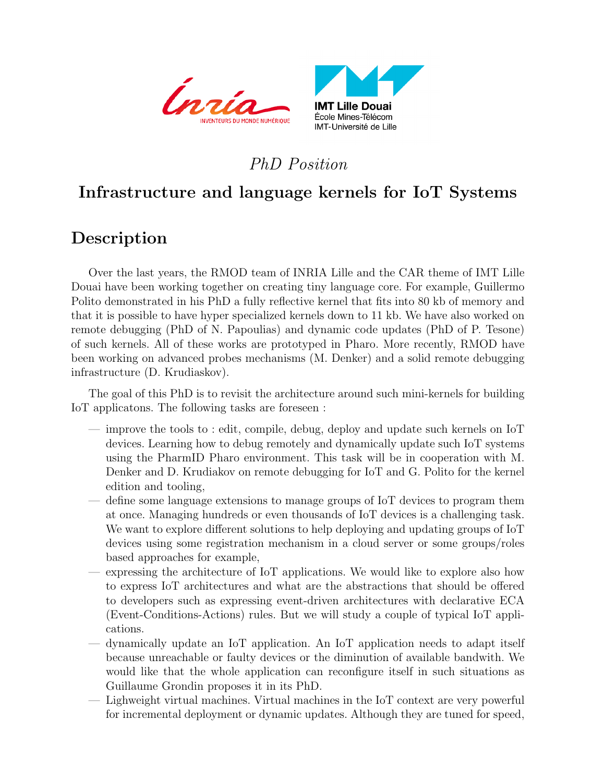



## PhD Position

# Infrastructure and language kernels for IoT Systems

## Description

Over the last years, the RMOD team of INRIA Lille and the CAR theme of IMT Lille Douai have been working together on creating tiny language core. For example, Guillermo Polito demonstrated in his PhD a fully reflective kernel that fits into 80 kb of memory and that it is possible to have hyper specialized kernels down to 11 kb. We have also worked on remote debugging (PhD of N. Papoulias) and dynamic code updates (PhD of P. Tesone) of such kernels. All of these works are prototyped in Pharo. More recently, RMOD have been working on advanced probes mechanisms (M. Denker) and a solid remote debugging infrastructure (D. Krudiaskov).

The goal of this PhD is to revisit the architecture around such mini-kernels for building IoT applicatons. The following tasks are foreseen :

- improve the tools to : edit, compile, debug, deploy and update such kernels on IoT devices. Learning how to debug remotely and dynamically update such IoT systems using the PharmID Pharo environment. This task will be in cooperation with M. Denker and D. Krudiakov on remote debugging for IoT and G. Polito for the kernel edition and tooling,
- define some language extensions to manage groups of IoT devices to program them at once. Managing hundreds or even thousands of IoT devices is a challenging task. We want to explore different solutions to help deploying and updating groups of IoT devices using some registration mechanism in a cloud server or some groups/roles based approaches for example,
- expressing the architecture of IoT applications. We would like to explore also how to express IoT architectures and what are the abstractions that should be offered to developers such as expressing event-driven architectures with declarative ECA (Event-Conditions-Actions) rules. But we will study a couple of typical IoT applications.
- dynamically update an IoT application. An IoT application needs to adapt itself because unreachable or faulty devices or the diminution of available bandwith. We would like that the whole application can reconfigure itself in such situations as Guillaume Grondin proposes it in its PhD.
- Lighweight virtual machines. Virtual machines in the IoT context are very powerful for incremental deployment or dynamic updates. Although they are tuned for speed,